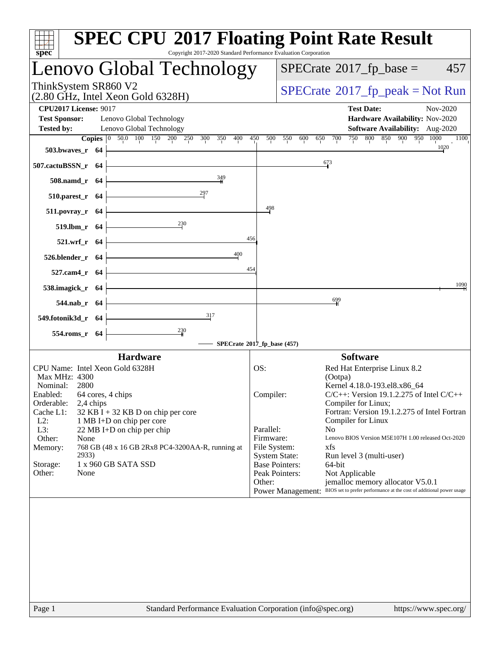| $spec^*$                     |                    |                                                                   | <b>SPEC CPU®2017 Floating Point Rate Result</b><br>Copyright 2017-2020 Standard Performance Evaluation Corporation   |                      |                       |                                                                                        |                                 |          |
|------------------------------|--------------------|-------------------------------------------------------------------|----------------------------------------------------------------------------------------------------------------------|----------------------|-----------------------|----------------------------------------------------------------------------------------|---------------------------------|----------|
|                              |                    |                                                                   | Lenovo Global Technology                                                                                             |                      |                       | $SPECrate^{\circledast}2017$ _fp_base =                                                |                                 | 457      |
| ThinkSystem SR860 V2         |                    | (2.80 GHz, Intel Xeon Gold 6328H)                                 |                                                                                                                      |                      |                       | $SPECrate^{\circ}2017$ _fp_peak = Not Run                                              |                                 |          |
| <b>CPU2017 License: 9017</b> |                    |                                                                   |                                                                                                                      |                      |                       | <b>Test Date:</b>                                                                      |                                 | Nov-2020 |
| <b>Test Sponsor:</b>         |                    | Lenovo Global Technology                                          |                                                                                                                      |                      |                       |                                                                                        | Hardware Availability: Nov-2020 |          |
| <b>Tested by:</b>            |                    | Lenovo Global Technology                                          |                                                                                                                      |                      |                       |                                                                                        | Software Availability: Aug-2020 |          |
|                              |                    |                                                                   | Copies 0 50.0 100 150 200 250 300 350 400                                                                            | 450<br>500           | 550 600               | 650<br>700                                                                             | 750 800 850 900 950 1000        | 1100     |
| 503.bwaves_r $64$            |                    |                                                                   |                                                                                                                      |                      |                       |                                                                                        |                                 | 1020     |
| $507$ .cactuBSSN_r 64        |                    |                                                                   |                                                                                                                      |                      |                       | 673                                                                                    |                                 |          |
|                              | $508$ .namd_r $64$ |                                                                   | 349                                                                                                                  |                      |                       |                                                                                        |                                 |          |
|                              | $510.parest_r 64$  |                                                                   | 297                                                                                                                  |                      |                       |                                                                                        |                                 |          |
| $511.povray_r$ 64            |                    |                                                                   |                                                                                                                      | 498                  |                       |                                                                                        |                                 |          |
|                              | 519.1bm_r $64$     |                                                                   |                                                                                                                      |                      |                       |                                                                                        |                                 |          |
|                              | $521.wrf_r$ 64     |                                                                   |                                                                                                                      | 456                  |                       |                                                                                        |                                 |          |
| $526.blender_r 64$           |                    |                                                                   | 400                                                                                                                  |                      |                       |                                                                                        |                                 |          |
|                              | 527.cam4_r 64 -    |                                                                   | <u> 1989 - Johann Barn, mars ann an t-Amhain Aonaich an t-Aonaich an t-Aonaich ann an t-Aonaich ann an t-Aonaich</u> | 454                  |                       |                                                                                        |                                 | 1090     |
| 538.imagick_r $64$ $\vdash$  |                    |                                                                   |                                                                                                                      |                      |                       |                                                                                        |                                 |          |
|                              | $544$ .nab_r 64    |                                                                   | <u> 1989 - Johann Barn, amerikansk politiker (</u>                                                                   |                      |                       | $\frac{699}{4}$                                                                        |                                 |          |
| 549.fotonik3d_r 64 $\vert$   |                    |                                                                   | $\overline{\phantom{a}317}$<br>$\frac{230}{4}$                                                                       |                      |                       |                                                                                        |                                 |          |
|                              | 554.roms_r 64      |                                                                   | SPECrate®2017_fp_base (457)                                                                                          |                      |                       |                                                                                        |                                 |          |
|                              |                    | <b>Hardware</b>                                                   |                                                                                                                      |                      |                       | <b>Software</b>                                                                        |                                 |          |
|                              |                    | CPU Name: Intel Xeon Gold 6328H                                   |                                                                                                                      | OS:                  |                       | Red Hat Enterprise Linux 8.2                                                           |                                 |          |
| Max MHz: 4300                |                    |                                                                   |                                                                                                                      |                      |                       | (Ootpa)                                                                                |                                 |          |
| Nominal: 2800                |                    |                                                                   |                                                                                                                      |                      |                       | Kernel 4.18.0-193.el8.x86_64                                                           |                                 |          |
| Enabled: 64 cores, 4 chips   |                    |                                                                   |                                                                                                                      | Compiler:            |                       | $C/C++$ : Version 19.1.2.275 of Intel $C/C++$                                          |                                 |          |
| Orderable:                   | 2,4 chips          |                                                                   |                                                                                                                      |                      |                       | Compiler for Linux;<br>Fortran: Version 19.1.2.275 of Intel Fortran                    |                                 |          |
| Cache L1:<br>$L2$ :          |                    | $32$ KB I + 32 KB D on chip per core<br>1 MB I+D on chip per core |                                                                                                                      |                      |                       | Compiler for Linux                                                                     |                                 |          |
| L3:                          |                    | 22 MB I+D on chip per chip                                        |                                                                                                                      | Parallel:            |                       | N <sub>0</sub>                                                                         |                                 |          |
| Other:                       | None               |                                                                   |                                                                                                                      | Firmware:            |                       | Lenovo BIOS Version M5E107H 1.00 released Oct-2020                                     |                                 |          |
| Memory:                      |                    |                                                                   | 768 GB (48 x 16 GB 2Rx8 PC4-3200AA-R, running at                                                                     | File System:         |                       | xfs                                                                                    |                                 |          |
|                              | 2933)              |                                                                   |                                                                                                                      | <b>System State:</b> |                       | Run level 3 (multi-user)                                                               |                                 |          |
| Storage:                     |                    | 1 x 960 GB SATA SSD                                               |                                                                                                                      |                      | <b>Base Pointers:</b> | 64-bit                                                                                 |                                 |          |
| Other:                       | None               |                                                                   |                                                                                                                      |                      | Peak Pointers:        | Not Applicable                                                                         |                                 |          |
|                              |                    |                                                                   |                                                                                                                      | Other:               |                       | jemalloc memory allocator V5.0.1                                                       |                                 |          |
|                              |                    |                                                                   |                                                                                                                      |                      |                       | Power Management: BIOS set to prefer performance at the cost of additional power usage |                                 |          |
|                              |                    |                                                                   |                                                                                                                      |                      |                       |                                                                                        |                                 |          |
| Page 1                       |                    |                                                                   | Standard Performance Evaluation Corporation (info@spec.org)                                                          |                      |                       |                                                                                        | https://www.spec.org/           |          |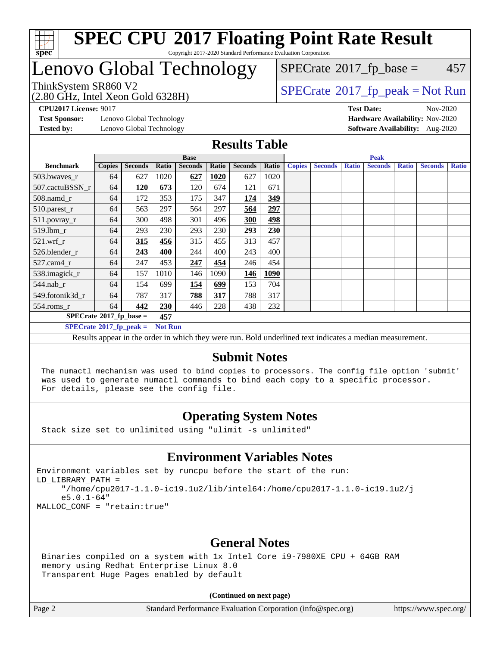

## Lenovo Global Technology

(2.80 GHz, Intel Xeon Gold 6328H)

 $SPECTate$ <sup>®</sup>[2017\\_fp\\_base =](http://www.spec.org/auto/cpu2017/Docs/result-fields.html#SPECrate2017fpbase) 457

### ThinkSystem SR860 V2<br>  $\begin{array}{c}\n\text{SPECTB} \setminus \text{SPECTB} \setminus \text{SPECTB} \setminus \text{SPECTB} \setminus \text{SPECTB} \setminus \text{SIV} \end{array}$

**[Test Sponsor:](http://www.spec.org/auto/cpu2017/Docs/result-fields.html#TestSponsor)** Lenovo Global Technology **[Hardware Availability:](http://www.spec.org/auto/cpu2017/Docs/result-fields.html#HardwareAvailability)** Nov-2020 **[Tested by:](http://www.spec.org/auto/cpu2017/Docs/result-fields.html#Testedby)** Lenovo Global Technology **[Software Availability:](http://www.spec.org/auto/cpu2017/Docs/result-fields.html#SoftwareAvailability)** Aug-2020

**[CPU2017 License:](http://www.spec.org/auto/cpu2017/Docs/result-fields.html#CPU2017License)** 9017 **[Test Date:](http://www.spec.org/auto/cpu2017/Docs/result-fields.html#TestDate)** Nov-2020

### **[Results Table](http://www.spec.org/auto/cpu2017/Docs/result-fields.html#ResultsTable)**

|                                  | <b>Base</b>   |                |                |                |       | <b>Peak</b>    |       |               |                |              |                |              |                |              |
|----------------------------------|---------------|----------------|----------------|----------------|-------|----------------|-------|---------------|----------------|--------------|----------------|--------------|----------------|--------------|
| <b>Benchmark</b>                 | <b>Copies</b> | <b>Seconds</b> | Ratio          | <b>Seconds</b> | Ratio | <b>Seconds</b> | Ratio | <b>Copies</b> | <b>Seconds</b> | <b>Ratio</b> | <b>Seconds</b> | <b>Ratio</b> | <b>Seconds</b> | <b>Ratio</b> |
| 503.bwayes_r                     | 64            | 627            | 1020           | 627            | 1020  | 627            | 1020  |               |                |              |                |              |                |              |
| 507.cactuBSSN r                  | 64            | <b>120</b>     | 673            | 120            | 674   | 121            | 671   |               |                |              |                |              |                |              |
| $508$ .namd $r$                  | 64            | 172            | 353            | 175            | 347   | 174            | 349   |               |                |              |                |              |                |              |
| 510.parest_r                     | 64            | 563            | 297            | 564            | 297   | 564            | 297   |               |                |              |                |              |                |              |
| 511.povray_r                     | 64            | 300            | 498            | 301            | 496   | 300            | 498   |               |                |              |                |              |                |              |
| 519.lbm r                        | 64            | 293            | 230            | 293            | 230   | 293            | 230   |               |                |              |                |              |                |              |
| $521.wrf_r$                      | 64            | 315            | 456            | 315            | 455   | 313            | 457   |               |                |              |                |              |                |              |
| 526.blender r                    | 64            | 243            | 400            | 244            | 400   | 243            | 400   |               |                |              |                |              |                |              |
| $527$ .cam $4r$                  | 64            | 247            | 453            | 247            | 454   | 246            | 454   |               |                |              |                |              |                |              |
| 538.imagick_r                    | 64            | 157            | 1010           | 146            | 1090  | <u>146</u>     | 1090  |               |                |              |                |              |                |              |
| $544$ .nab r                     | 64            | 154            | 699            | 154            | 699   | 153            | 704   |               |                |              |                |              |                |              |
| 549.fotonik3d r                  | 64            | 787            | 317            | 788            | 317   | 788            | 317   |               |                |              |                |              |                |              |
| $554$ .roms_r                    | 64            | 442            | 230            | 446            | 228   | 438            | 232   |               |                |              |                |              |                |              |
| $SPECrate*2017_fp\_base =$       |               |                | 457            |                |       |                |       |               |                |              |                |              |                |              |
| $SPECrate^{\circ}2017$ fp peak = |               |                | <b>Not Run</b> |                |       |                |       |               |                |              |                |              |                |              |

Results appear in the [order in which they were run](http://www.spec.org/auto/cpu2017/Docs/result-fields.html#RunOrder). Bold underlined text [indicates a median measurement.](http://www.spec.org/auto/cpu2017/Docs/result-fields.html#Median)

### **[Submit Notes](http://www.spec.org/auto/cpu2017/Docs/result-fields.html#SubmitNotes)**

 The numactl mechanism was used to bind copies to processors. The config file option 'submit' was used to generate numactl commands to bind each copy to a specific processor. For details, please see the config file.

### **[Operating System Notes](http://www.spec.org/auto/cpu2017/Docs/result-fields.html#OperatingSystemNotes)**

Stack size set to unlimited using "ulimit -s unlimited"

### **[Environment Variables Notes](http://www.spec.org/auto/cpu2017/Docs/result-fields.html#EnvironmentVariablesNotes)**

Environment variables set by runcpu before the start of the run: LD\_LIBRARY\_PATH = "/home/cpu2017-1.1.0-ic19.1u2/lib/intel64:/home/cpu2017-1.1.0-ic19.1u2/j e5.0.1-64" MALLOC\_CONF = "retain:true"

### **[General Notes](http://www.spec.org/auto/cpu2017/Docs/result-fields.html#GeneralNotes)**

 Binaries compiled on a system with 1x Intel Core i9-7980XE CPU + 64GB RAM memory using Redhat Enterprise Linux 8.0 Transparent Huge Pages enabled by default

#### **(Continued on next page)**

Page 2 Standard Performance Evaluation Corporation [\(info@spec.org\)](mailto:info@spec.org) <https://www.spec.org/>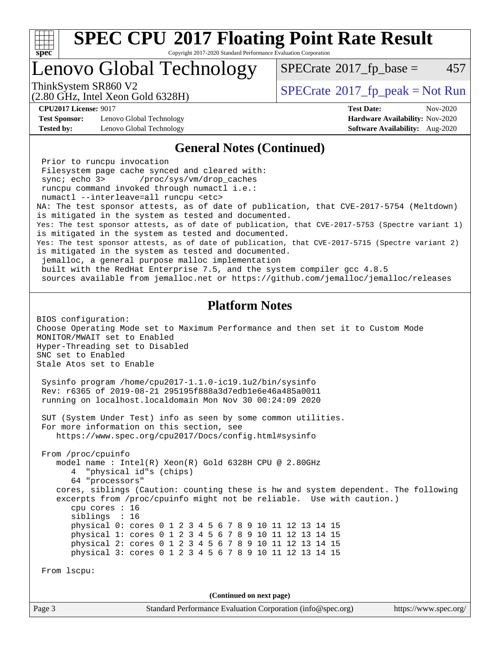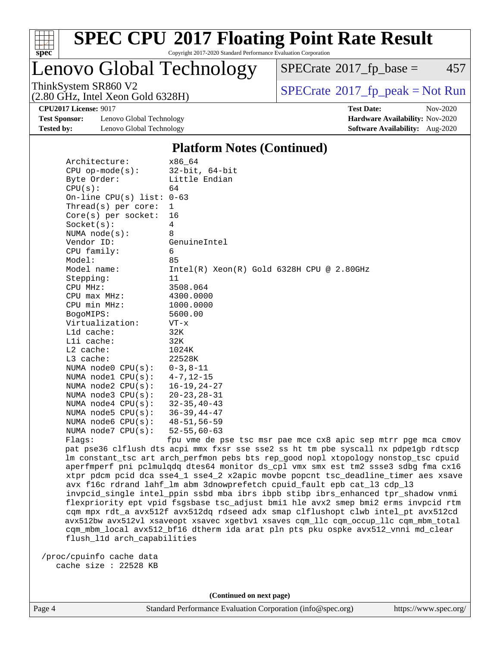

Lenovo Global Technology

 $SPECTate@2017<sub>fr</sub> base = 457$ 

(2.80 GHz, Intel Xeon Gold 6328H)

ThinkSystem SR860 V2<br>  $\begin{array}{c}\n\text{SPECrate} \textcircled{2017\_fp\_peak} = \text{Not Run} \\
\text{SPECrate} \textcircled{2017\_fp\_peak} = \text{Not Run} \\
\end{array}$  $\begin{array}{c}\n\text{SPECrate} \textcircled{2017\_fp\_peak} = \text{Not Run} \\
\text{SPECrate} \textcircled{2017\_fp\_peak} = \text{Not Run} \\
\end{array}$  $\begin{array}{c}\n\text{SPECrate} \textcircled{2017\_fp\_peak} = \text{Not Run} \\
\text{SPECrate} \textcircled{2017\_fp\_peak} = \text{Not Run} \\
\end{array}$ 

**[Test Sponsor:](http://www.spec.org/auto/cpu2017/Docs/result-fields.html#TestSponsor)** Lenovo Global Technology **[Hardware Availability:](http://www.spec.org/auto/cpu2017/Docs/result-fields.html#HardwareAvailability)** Nov-2020 **[Tested by:](http://www.spec.org/auto/cpu2017/Docs/result-fields.html#Testedby)** Lenovo Global Technology **[Software Availability:](http://www.spec.org/auto/cpu2017/Docs/result-fields.html#SoftwareAvailability)** Aug-2020

**[CPU2017 License:](http://www.spec.org/auto/cpu2017/Docs/result-fields.html#CPU2017License)** 9017 **[Test Date:](http://www.spec.org/auto/cpu2017/Docs/result-fields.html#TestDate)** Nov-2020

#### **[Platform Notes \(Continued\)](http://www.spec.org/auto/cpu2017/Docs/result-fields.html#PlatformNotes)**

| Architecture:<br>$CPU$ op-mode( $s$ ):<br>Byte Order:<br>CPU(s):<br>On-line CPU(s) list: $0-63$ | x86 64<br>$32$ -bit, $64$ -bit<br>Little Endian<br>64                                                                                                                   |
|-------------------------------------------------------------------------------------------------|-------------------------------------------------------------------------------------------------------------------------------------------------------------------------|
| Thread(s) per core:                                                                             | $\mathbf{1}$                                                                                                                                                            |
| Core(s) per socket:                                                                             | 16                                                                                                                                                                      |
| Socket(s):                                                                                      | $\overline{4}$                                                                                                                                                          |
| NUMA $node(s)$ :                                                                                | 8                                                                                                                                                                       |
| Vendor ID:                                                                                      | GenuineIntel                                                                                                                                                            |
| CPU family:                                                                                     | 6                                                                                                                                                                       |
| Model:                                                                                          | 85                                                                                                                                                                      |
| Model name:                                                                                     | $Intel(R)$ Xeon $(R)$ Gold 6328H CPU @ 2.80GHz                                                                                                                          |
| Stepping:                                                                                       | 11                                                                                                                                                                      |
| CPU MHz:                                                                                        | 3508.064                                                                                                                                                                |
| CPU max MHz:                                                                                    | 4300.0000                                                                                                                                                               |
| CPU min MHz:                                                                                    | 1000.0000                                                                                                                                                               |
| BogoMIPS:                                                                                       | 5600.00                                                                                                                                                                 |
| Virtualization:                                                                                 | $VT - x$                                                                                                                                                                |
| Lld cache:                                                                                      | 32K                                                                                                                                                                     |
| Lli cache:                                                                                      | 32K                                                                                                                                                                     |
| $L2$ cache:                                                                                     | 1024K                                                                                                                                                                   |
| L3 cache:                                                                                       | 22528K                                                                                                                                                                  |
| NUMA node0 CPU(s):                                                                              | 0-3,8-11                                                                                                                                                                |
| NUMA $node1$ $CPU(s):$                                                                          | 4-7,12-15                                                                                                                                                               |
| NUMA $node2$ $CPU(s):$                                                                          | 16-19,24-27                                                                                                                                                             |
| NUMA $node3$ $CPU(s):$                                                                          | $20 - 23, 28 - 31$                                                                                                                                                      |
| NUMA $node4$ $CPU(s):$                                                                          | $32 - 35, 40 - 43$                                                                                                                                                      |
| NUMA $node5$ $CPU(s):$                                                                          | $36 - 39, 44 - 47$                                                                                                                                                      |
| NUMA node6 CPU(s):                                                                              | 48-51,56-59                                                                                                                                                             |
| NUMA $node7$ $CPU(s)$ :                                                                         | $52 - 55, 60 - 63$                                                                                                                                                      |
| Flags:                                                                                          | fpu vme de pse tsc msr pae mce cx8 apic sep mtrr pge mca cmov                                                                                                           |
|                                                                                                 | pat pse36 clflush dts acpi mmx fxsr sse sse2 ss ht tm pbe syscall nx pdpelgb rdtscp                                                                                     |
|                                                                                                 | lm constant_tsc art arch_perfmon pebs bts rep_good nopl xtopology nonstop_tsc cpuid                                                                                     |
|                                                                                                 | aperfmperf pni pclmulgdg dtes64 monitor ds_cpl vmx smx est tm2 ssse3 sdbg fma cx16<br>xtpr pdcm pcid dca sse4_1 sse4_2 x2apic movbe popcnt tsc_deadline_timer aes xsave |
|                                                                                                 | ct also calculated label la alma decomposition and also la also la also la la also la la la la la la                                                                    |

 avx f16c rdrand lahf\_lm abm 3dnowprefetch cpuid\_fault epb cat\_l3 cdp\_l3 invpcid\_single intel\_ppin ssbd mba ibrs ibpb stibp ibrs\_enhanced tpr\_shadow vnmi flexpriority ept vpid fsgsbase tsc\_adjust bmi1 hle avx2 smep bmi2 erms invpcid rtm cqm mpx rdt\_a avx512f avx512dq rdseed adx smap clflushopt clwb intel\_pt avx512cd avx512bw avx512vl xsaveopt xsavec xgetbv1 xsaves cqm\_llc cqm\_occup\_llc cqm\_mbm\_total cqm\_mbm\_local avx512\_bf16 dtherm ida arat pln pts pku ospke avx512\_vnni md\_clear flush\_l1d arch\_capabilities

 /proc/cpuinfo cache data cache size : 22528 KB

**(Continued on next page)**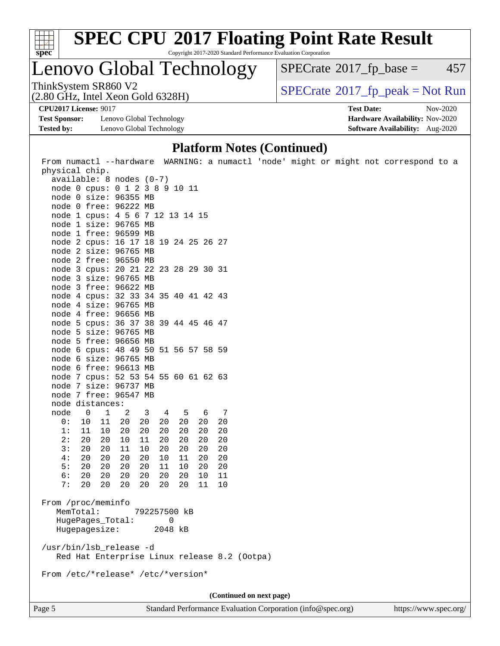

# **[SPEC CPU](http://www.spec.org/auto/cpu2017/Docs/result-fields.html#SPECCPU2017FloatingPointRateResult)[2017 Floating Point Rate Result](http://www.spec.org/auto/cpu2017/Docs/result-fields.html#SPECCPU2017FloatingPointRateResult)**

Copyright 2017-2020 Standard Performance Evaluation Corporation

Lenovo Global Technology

 $SPECTate@2017<sub>fr</sub> base = 457$ 

(2.80 GHz, Intel Xeon Gold 6328H)

ThinkSystem SR860 V2<br>(2.80 GHz, Intel Xeon Gold 6328H)  $\vert$  [SPECrate](http://www.spec.org/auto/cpu2017/Docs/result-fields.html#SPECrate2017fppeak)®[2017\\_fp\\_peak = N](http://www.spec.org/auto/cpu2017/Docs/result-fields.html#SPECrate2017fppeak)ot Run

**[Test Sponsor:](http://www.spec.org/auto/cpu2017/Docs/result-fields.html#TestSponsor)** Lenovo Global Technology **[Hardware Availability:](http://www.spec.org/auto/cpu2017/Docs/result-fields.html#HardwareAvailability)** Nov-2020 **[Tested by:](http://www.spec.org/auto/cpu2017/Docs/result-fields.html#Testedby)** Lenovo Global Technology **[Software Availability:](http://www.spec.org/auto/cpu2017/Docs/result-fields.html#SoftwareAvailability)** Aug-2020

**[CPU2017 License:](http://www.spec.org/auto/cpu2017/Docs/result-fields.html#CPU2017License)** 9017 **[Test Date:](http://www.spec.org/auto/cpu2017/Docs/result-fields.html#TestDate)** Nov-2020

### **[Platform Notes \(Continued\)](http://www.spec.org/auto/cpu2017/Docs/result-fields.html#PlatformNotes)**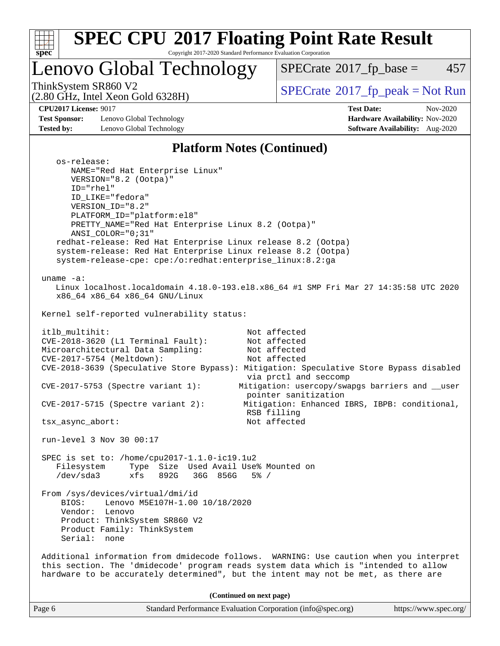

# **[SPEC CPU](http://www.spec.org/auto/cpu2017/Docs/result-fields.html#SPECCPU2017FloatingPointRateResult)[2017 Floating Point Rate Result](http://www.spec.org/auto/cpu2017/Docs/result-fields.html#SPECCPU2017FloatingPointRateResult)**

Copyright 2017-2020 Standard Performance Evaluation Corporation

Lenovo Global Technology

 $SPECTate@2017_fp\_base = 457$ 

(2.80 GHz, Intel Xeon Gold 6328H)

ThinkSystem SR860 V2<br>  $(2.80 \text{ GHz})$  Intel Xeon Gold 6328H)

**[Test Sponsor:](http://www.spec.org/auto/cpu2017/Docs/result-fields.html#TestSponsor)** Lenovo Global Technology **[Hardware Availability:](http://www.spec.org/auto/cpu2017/Docs/result-fields.html#HardwareAvailability)** Nov-2020 **[Tested by:](http://www.spec.org/auto/cpu2017/Docs/result-fields.html#Testedby)** Lenovo Global Technology **[Software Availability:](http://www.spec.org/auto/cpu2017/Docs/result-fields.html#SoftwareAvailability)** Aug-2020

**[CPU2017 License:](http://www.spec.org/auto/cpu2017/Docs/result-fields.html#CPU2017License)** 9017 **[Test Date:](http://www.spec.org/auto/cpu2017/Docs/result-fields.html#TestDate)** Nov-2020

### **[Platform Notes \(Continued\)](http://www.spec.org/auto/cpu2017/Docs/result-fields.html#PlatformNotes)**

| os-release:<br>NAME="Red Hat Enterprise Linux"                                                                               |
|------------------------------------------------------------------------------------------------------------------------------|
| VERSION="8.2 (Ootpa)"<br>ID="rhel"                                                                                           |
| ID_LIKE="fedora"                                                                                                             |
| VERSION_ID="8.2"                                                                                                             |
| PLATFORM_ID="platform:el8"                                                                                                   |
| PRETTY_NAME="Red Hat Enterprise Linux 8.2 (Ootpa)"                                                                           |
| $ANSI\_COLOR = "0; 31"$                                                                                                      |
| redhat-release: Red Hat Enterprise Linux release 8.2 (Ootpa)<br>system-release: Red Hat Enterprise Linux release 8.2 (Ootpa) |
| system-release-cpe: cpe:/o:redhat:enterprise_linux:8.2:ga                                                                    |
|                                                                                                                              |
| uname $-a$ :                                                                                                                 |
| Linux localhost.localdomain 4.18.0-193.el8.x86_64 #1 SMP Fri Mar 27 14:35:58 UTC 2020<br>x86_64 x86_64 x86_64 GNU/Linux      |
| Kernel self-reported vulnerability status:                                                                                   |
| Not affected<br>itlb_multihit:                                                                                               |
| CVE-2018-3620 (L1 Terminal Fault):<br>Not affected                                                                           |
| Microarchitectural Data Sampling:<br>Not affected                                                                            |
| CVE-2017-5754 (Meltdown):<br>Not affected                                                                                    |
| CVE-2018-3639 (Speculative Store Bypass): Mitigation: Speculative Store Bypass disabled<br>via prctl and seccomp             |
| Mitigation: usercopy/swapgs barriers and __user<br>$CVE-2017-5753$ (Spectre variant 1):<br>pointer sanitization              |
| $CVE-2017-5715$ (Spectre variant 2):<br>Mitigation: Enhanced IBRS, IBPB: conditional,                                        |
| RSB filling<br>Not affected<br>tsx_async_abort:                                                                              |
|                                                                                                                              |
| run-level 3 Nov 30 00:17                                                                                                     |
| SPEC is set to: /home/cpu2017-1.1.0-ic19.1u2                                                                                 |
| Filesystem Type Size Used Avail Use% Mounted on                                                                              |
| /dev/sda3 xfs 892G 36G 856G<br>$5\%$ /                                                                                       |
| From /sys/devices/virtual/dmi/id                                                                                             |
| BIOS:<br>Lenovo M5E107H-1.00 10/18/2020                                                                                      |
| Vendor:<br>Lenovo                                                                                                            |
| Product: ThinkSystem SR860 V2                                                                                                |
| Product Family: ThinkSystem                                                                                                  |
| Serial: none                                                                                                                 |
| Additional information from dmidecode follows. WARNING: Use caution when you interpret                                       |
| this section. The 'dmidecode' program reads system data which is "intended to allow                                          |
| hardware to be accurately determined", but the intent may not be met, as there are                                           |
| (Continued on next page)                                                                                                     |
| Standard Performance Evaluation Corporation (info@spec.org)<br>https://www.spec.org/<br>Page 6                               |
|                                                                                                                              |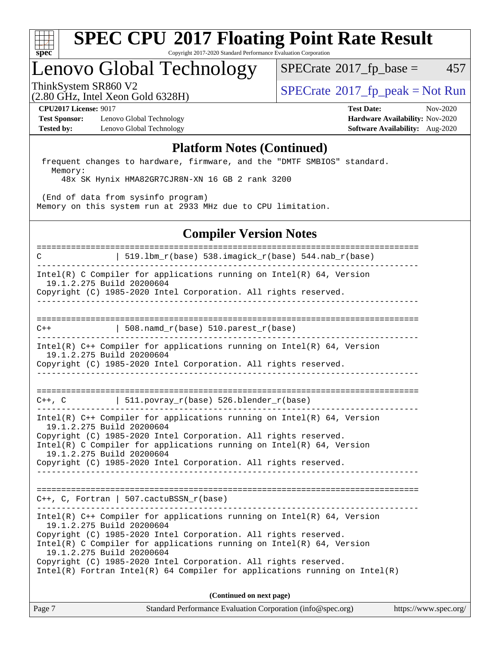

## Lenovo Global Technology

 $SPECTate@2017<sub>fr</sub> base = 457$ 

(2.80 GHz, Intel Xeon Gold 6328H)

ThinkSystem SR860 V2<br>  $\begin{array}{c} \text{SPECTI}_{\text{S}} \text{SFR} = \text{Not Run} \\ \text{SPECTI}_{\text{S}} \text{SFR} = \text{Not Run} \end{array}$ 

**[Test Sponsor:](http://www.spec.org/auto/cpu2017/Docs/result-fields.html#TestSponsor)** Lenovo Global Technology **[Hardware Availability:](http://www.spec.org/auto/cpu2017/Docs/result-fields.html#HardwareAvailability)** Nov-2020 **[Tested by:](http://www.spec.org/auto/cpu2017/Docs/result-fields.html#Testedby)** Lenovo Global Technology **[Software Availability:](http://www.spec.org/auto/cpu2017/Docs/result-fields.html#SoftwareAvailability)** Aug-2020

**[CPU2017 License:](http://www.spec.org/auto/cpu2017/Docs/result-fields.html#CPU2017License)** 9017 **[Test Date:](http://www.spec.org/auto/cpu2017/Docs/result-fields.html#TestDate)** Nov-2020

#### **[Platform Notes \(Continued\)](http://www.spec.org/auto/cpu2017/Docs/result-fields.html#PlatformNotes)**

 frequent changes to hardware, firmware, and the "DMTF SMBIOS" standard. Memory:

48x SK Hynix HMA82GR7CJR8N-XN 16 GB 2 rank 3200

 (End of data from sysinfo program) Memory on this system run at 2933 MHz due to CPU limitation.

### **[Compiler Version Notes](http://www.spec.org/auto/cpu2017/Docs/result-fields.html#CompilerVersionNotes)**

============================================================================== C  $| 519.1bm_r(base) 538.imagick_r(base) 544.nab_r(base)$ ------------------------------------------------------------------------------ Intel(R) C Compiler for applications running on Intel(R) 64, Version 19.1.2.275 Build 20200604 Copyright (C) 1985-2020 Intel Corporation. All rights reserved. ------------------------------------------------------------------------------ ==============================================================================  $C++$  | 508.namd\_r(base) 510.parest\_r(base) ------------------------------------------------------------------------------ Intel(R) C++ Compiler for applications running on Intel(R) 64, Version 19.1.2.275 Build 20200604 Copyright (C) 1985-2020 Intel Corporation. All rights reserved. ------------------------------------------------------------------------------ ==============================================================================  $C++$ ,  $C$  | 511.povray\_r(base) 526.blender\_r(base) ------------------------------------------------------------------------------ Intel(R) C++ Compiler for applications running on Intel(R) 64, Version 19.1.2.275 Build 20200604 Copyright (C) 1985-2020 Intel Corporation. All rights reserved. Intel(R) C Compiler for applications running on Intel(R) 64, Version 19.1.2.275 Build 20200604 Copyright (C) 1985-2020 Intel Corporation. All rights reserved. ------------------------------------------------------------------------------ ============================================================================== C++, C, Fortran | 507.cactuBSSN\_r(base) ------------------------------------------------------------------------------ Intel(R) C++ Compiler for applications running on Intel(R) 64, Version 19.1.2.275 Build 20200604 Copyright (C) 1985-2020 Intel Corporation. All rights reserved. Intel(R) C Compiler for applications running on Intel(R) 64, Version 19.1.2.275 Build 20200604 Copyright (C) 1985-2020 Intel Corporation. All rights reserved. Intel(R) Fortran Intel(R) 64 Compiler for applications running on Intel(R) **(Continued on next page)**

Page 7 Standard Performance Evaluation Corporation [\(info@spec.org\)](mailto:info@spec.org) <https://www.spec.org/>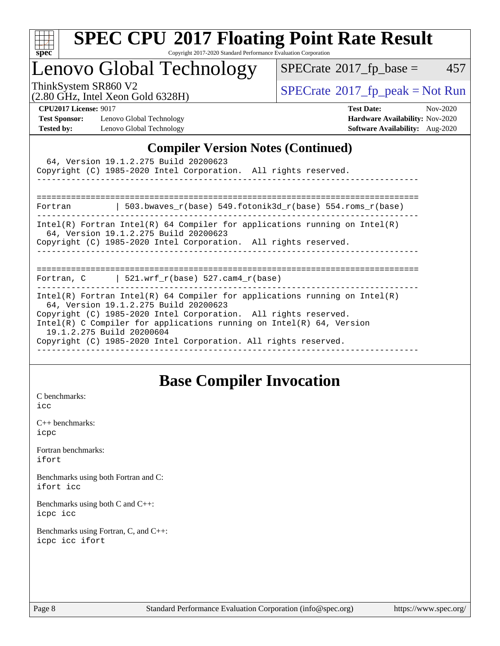

# **[SPEC CPU](http://www.spec.org/auto/cpu2017/Docs/result-fields.html#SPECCPU2017FloatingPointRateResult)[2017 Floating Point Rate Result](http://www.spec.org/auto/cpu2017/Docs/result-fields.html#SPECCPU2017FloatingPointRateResult)**

Copyright 2017-2020 Standard Performance Evaluation Corporation

Lenovo Global Technology

 $SPECTate@2017_fp\_base = 457$ 

(2.80 GHz, Intel Xeon Gold 6328H)

ThinkSystem SR860 V2<br>  $\begin{array}{c}\n\text{SPECrate} \textcirc 2017\_fp\_peak = Not Run \\
\text{SPECrate} \textcirc 2017\_fp\_peak = Not Run\n\end{array}$  $\begin{array}{c}\n\text{SPECrate} \textcirc 2017\_fp\_peak = Not Run \\
\text{SPECrate} \textcirc 2017\_fp\_peak = Not Run\n\end{array}$  $\begin{array}{c}\n\text{SPECrate} \textcirc 2017\_fp\_peak = Not Run \\
\text{SPECrate} \textcirc 2017\_fp\_peak = Not Run\n\end{array}$ 

**[Test Sponsor:](http://www.spec.org/auto/cpu2017/Docs/result-fields.html#TestSponsor)** Lenovo Global Technology **[Hardware Availability:](http://www.spec.org/auto/cpu2017/Docs/result-fields.html#HardwareAvailability)** Nov-2020 **[Tested by:](http://www.spec.org/auto/cpu2017/Docs/result-fields.html#Testedby)** Lenovo Global Technology **[Software Availability:](http://www.spec.org/auto/cpu2017/Docs/result-fields.html#SoftwareAvailability)** Aug-2020

**[CPU2017 License:](http://www.spec.org/auto/cpu2017/Docs/result-fields.html#CPU2017License)** 9017 **[Test Date:](http://www.spec.org/auto/cpu2017/Docs/result-fields.html#TestDate)** Nov-2020

### **[Compiler Version Notes \(Continued\)](http://www.spec.org/auto/cpu2017/Docs/result-fields.html#CompilerVersionNotes)**

|                           | 64, Version 19.1.2.275 Build 20200623<br>Copyright (C) 1985-2020 Intel Corporation. All rights reserved.                                                                                                                                                                                                                             |  |
|---------------------------|--------------------------------------------------------------------------------------------------------------------------------------------------------------------------------------------------------------------------------------------------------------------------------------------------------------------------------------|--|
|                           | Fortran $\vert$ 503.bwaves r(base) 549.fotonik3d r(base) 554.roms r(base)                                                                                                                                                                                                                                                            |  |
|                           | Intel(R) Fortran Intel(R) 64 Compiler for applications running on Intel(R)<br>64, Version 19.1.2.275 Build 20200623<br>Copyright (C) 1985-2020 Intel Corporation. All rights reserved.                                                                                                                                               |  |
|                           | Fortran, C $\vert$ 521.wrf r(base) 527.cam4 r(base)                                                                                                                                                                                                                                                                                  |  |
| 19.1.2.275 Build 20200604 | Intel(R) Fortran Intel(R) 64 Compiler for applications running on Intel(R)<br>64, Version 19.1.2.275 Build 20200623<br>Copyright (C) 1985-2020 Intel Corporation. All rights reserved.<br>Intel(R) C Compiler for applications running on Intel(R) $64$ , Version<br>Copyright (C) 1985-2020 Intel Corporation. All rights reserved. |  |

### **[Base Compiler Invocation](http://www.spec.org/auto/cpu2017/Docs/result-fields.html#BaseCompilerInvocation)**

[C benchmarks](http://www.spec.org/auto/cpu2017/Docs/result-fields.html#Cbenchmarks): [icc](http://www.spec.org/cpu2017/results/res2020q4/cpu2017-20201207-24545.flags.html#user_CCbase_intel_icc_66fc1ee009f7361af1fbd72ca7dcefbb700085f36577c54f309893dd4ec40d12360134090235512931783d35fd58c0460139e722d5067c5574d8eaf2b3e37e92)

[C++ benchmarks:](http://www.spec.org/auto/cpu2017/Docs/result-fields.html#CXXbenchmarks) [icpc](http://www.spec.org/cpu2017/results/res2020q4/cpu2017-20201207-24545.flags.html#user_CXXbase_intel_icpc_c510b6838c7f56d33e37e94d029a35b4a7bccf4766a728ee175e80a419847e808290a9b78be685c44ab727ea267ec2f070ec5dc83b407c0218cded6866a35d07)

[Fortran benchmarks](http://www.spec.org/auto/cpu2017/Docs/result-fields.html#Fortranbenchmarks): [ifort](http://www.spec.org/cpu2017/results/res2020q4/cpu2017-20201207-24545.flags.html#user_FCbase_intel_ifort_8111460550e3ca792625aed983ce982f94888b8b503583aa7ba2b8303487b4d8a21a13e7191a45c5fd58ff318f48f9492884d4413fa793fd88dd292cad7027ca)

[Benchmarks using both Fortran and C](http://www.spec.org/auto/cpu2017/Docs/result-fields.html#BenchmarksusingbothFortranandC): [ifort](http://www.spec.org/cpu2017/results/res2020q4/cpu2017-20201207-24545.flags.html#user_CC_FCbase_intel_ifort_8111460550e3ca792625aed983ce982f94888b8b503583aa7ba2b8303487b4d8a21a13e7191a45c5fd58ff318f48f9492884d4413fa793fd88dd292cad7027ca) [icc](http://www.spec.org/cpu2017/results/res2020q4/cpu2017-20201207-24545.flags.html#user_CC_FCbase_intel_icc_66fc1ee009f7361af1fbd72ca7dcefbb700085f36577c54f309893dd4ec40d12360134090235512931783d35fd58c0460139e722d5067c5574d8eaf2b3e37e92)

[Benchmarks using both C and C++](http://www.spec.org/auto/cpu2017/Docs/result-fields.html#BenchmarksusingbothCandCXX): [icpc](http://www.spec.org/cpu2017/results/res2020q4/cpu2017-20201207-24545.flags.html#user_CC_CXXbase_intel_icpc_c510b6838c7f56d33e37e94d029a35b4a7bccf4766a728ee175e80a419847e808290a9b78be685c44ab727ea267ec2f070ec5dc83b407c0218cded6866a35d07) [icc](http://www.spec.org/cpu2017/results/res2020q4/cpu2017-20201207-24545.flags.html#user_CC_CXXbase_intel_icc_66fc1ee009f7361af1fbd72ca7dcefbb700085f36577c54f309893dd4ec40d12360134090235512931783d35fd58c0460139e722d5067c5574d8eaf2b3e37e92)

[Benchmarks using Fortran, C, and C++:](http://www.spec.org/auto/cpu2017/Docs/result-fields.html#BenchmarksusingFortranCandCXX) [icpc](http://www.spec.org/cpu2017/results/res2020q4/cpu2017-20201207-24545.flags.html#user_CC_CXX_FCbase_intel_icpc_c510b6838c7f56d33e37e94d029a35b4a7bccf4766a728ee175e80a419847e808290a9b78be685c44ab727ea267ec2f070ec5dc83b407c0218cded6866a35d07) [icc](http://www.spec.org/cpu2017/results/res2020q4/cpu2017-20201207-24545.flags.html#user_CC_CXX_FCbase_intel_icc_66fc1ee009f7361af1fbd72ca7dcefbb700085f36577c54f309893dd4ec40d12360134090235512931783d35fd58c0460139e722d5067c5574d8eaf2b3e37e92) [ifort](http://www.spec.org/cpu2017/results/res2020q4/cpu2017-20201207-24545.flags.html#user_CC_CXX_FCbase_intel_ifort_8111460550e3ca792625aed983ce982f94888b8b503583aa7ba2b8303487b4d8a21a13e7191a45c5fd58ff318f48f9492884d4413fa793fd88dd292cad7027ca)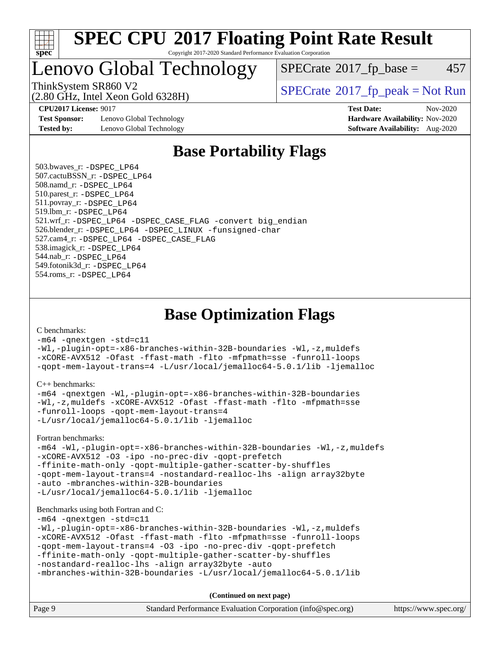

### Lenovo Global Technology

 $SPECTate$ <sup>®</sup>[2017\\_fp\\_base =](http://www.spec.org/auto/cpu2017/Docs/result-fields.html#SPECrate2017fpbase) 457

(2.80 GHz, Intel Xeon Gold 6328H)

ThinkSystem SR860 V2<br>  $\begin{array}{c} \text{SPECrate} \textcircled{2017} \text{ fp\_peak} = \text{Not Run} \end{array}$  $\begin{array}{c} \text{SPECrate} \textcircled{2017} \text{ fp\_peak} = \text{Not Run} \end{array}$  $\begin{array}{c} \text{SPECrate} \textcircled{2017} \text{ fp\_peak} = \text{Not Run} \end{array}$ 

**[Test Sponsor:](http://www.spec.org/auto/cpu2017/Docs/result-fields.html#TestSponsor)** Lenovo Global Technology **[Hardware Availability:](http://www.spec.org/auto/cpu2017/Docs/result-fields.html#HardwareAvailability)** Nov-2020 **[Tested by:](http://www.spec.org/auto/cpu2017/Docs/result-fields.html#Testedby)** Lenovo Global Technology **[Software Availability:](http://www.spec.org/auto/cpu2017/Docs/result-fields.html#SoftwareAvailability)** Aug-2020

**[CPU2017 License:](http://www.spec.org/auto/cpu2017/Docs/result-fields.html#CPU2017License)** 9017 **[Test Date:](http://www.spec.org/auto/cpu2017/Docs/result-fields.html#TestDate)** Nov-2020

### **[Base Portability Flags](http://www.spec.org/auto/cpu2017/Docs/result-fields.html#BasePortabilityFlags)**

 503.bwaves\_r: [-DSPEC\\_LP64](http://www.spec.org/cpu2017/results/res2020q4/cpu2017-20201207-24545.flags.html#suite_basePORTABILITY503_bwaves_r_DSPEC_LP64) 507.cactuBSSN\_r: [-DSPEC\\_LP64](http://www.spec.org/cpu2017/results/res2020q4/cpu2017-20201207-24545.flags.html#suite_basePORTABILITY507_cactuBSSN_r_DSPEC_LP64) 508.namd\_r: [-DSPEC\\_LP64](http://www.spec.org/cpu2017/results/res2020q4/cpu2017-20201207-24545.flags.html#suite_basePORTABILITY508_namd_r_DSPEC_LP64) 510.parest\_r: [-DSPEC\\_LP64](http://www.spec.org/cpu2017/results/res2020q4/cpu2017-20201207-24545.flags.html#suite_basePORTABILITY510_parest_r_DSPEC_LP64) 511.povray\_r: [-DSPEC\\_LP64](http://www.spec.org/cpu2017/results/res2020q4/cpu2017-20201207-24545.flags.html#suite_basePORTABILITY511_povray_r_DSPEC_LP64) 519.lbm\_r: [-DSPEC\\_LP64](http://www.spec.org/cpu2017/results/res2020q4/cpu2017-20201207-24545.flags.html#suite_basePORTABILITY519_lbm_r_DSPEC_LP64) 521.wrf\_r: [-DSPEC\\_LP64](http://www.spec.org/cpu2017/results/res2020q4/cpu2017-20201207-24545.flags.html#suite_basePORTABILITY521_wrf_r_DSPEC_LP64) [-DSPEC\\_CASE\\_FLAG](http://www.spec.org/cpu2017/results/res2020q4/cpu2017-20201207-24545.flags.html#b521.wrf_r_baseCPORTABILITY_DSPEC_CASE_FLAG) [-convert big\\_endian](http://www.spec.org/cpu2017/results/res2020q4/cpu2017-20201207-24545.flags.html#user_baseFPORTABILITY521_wrf_r_convert_big_endian_c3194028bc08c63ac5d04de18c48ce6d347e4e562e8892b8bdbdc0214820426deb8554edfa529a3fb25a586e65a3d812c835984020483e7e73212c4d31a38223) 526.blender\_r: [-DSPEC\\_LP64](http://www.spec.org/cpu2017/results/res2020q4/cpu2017-20201207-24545.flags.html#suite_basePORTABILITY526_blender_r_DSPEC_LP64) [-DSPEC\\_LINUX](http://www.spec.org/cpu2017/results/res2020q4/cpu2017-20201207-24545.flags.html#b526.blender_r_baseCPORTABILITY_DSPEC_LINUX) [-funsigned-char](http://www.spec.org/cpu2017/results/res2020q4/cpu2017-20201207-24545.flags.html#user_baseCPORTABILITY526_blender_r_force_uchar_40c60f00ab013830e2dd6774aeded3ff59883ba5a1fc5fc14077f794d777847726e2a5858cbc7672e36e1b067e7e5c1d9a74f7176df07886a243d7cc18edfe67) 527.cam4\_r: [-DSPEC\\_LP64](http://www.spec.org/cpu2017/results/res2020q4/cpu2017-20201207-24545.flags.html#suite_basePORTABILITY527_cam4_r_DSPEC_LP64) [-DSPEC\\_CASE\\_FLAG](http://www.spec.org/cpu2017/results/res2020q4/cpu2017-20201207-24545.flags.html#b527.cam4_r_baseCPORTABILITY_DSPEC_CASE_FLAG) 538.imagick\_r: [-DSPEC\\_LP64](http://www.spec.org/cpu2017/results/res2020q4/cpu2017-20201207-24545.flags.html#suite_basePORTABILITY538_imagick_r_DSPEC_LP64) 544.nab\_r: [-DSPEC\\_LP64](http://www.spec.org/cpu2017/results/res2020q4/cpu2017-20201207-24545.flags.html#suite_basePORTABILITY544_nab_r_DSPEC_LP64) 549.fotonik3d\_r: [-DSPEC\\_LP64](http://www.spec.org/cpu2017/results/res2020q4/cpu2017-20201207-24545.flags.html#suite_basePORTABILITY549_fotonik3d_r_DSPEC_LP64) 554.roms\_r: [-DSPEC\\_LP64](http://www.spec.org/cpu2017/results/res2020q4/cpu2017-20201207-24545.flags.html#suite_basePORTABILITY554_roms_r_DSPEC_LP64)

### **[Base Optimization Flags](http://www.spec.org/auto/cpu2017/Docs/result-fields.html#BaseOptimizationFlags)**

[C benchmarks](http://www.spec.org/auto/cpu2017/Docs/result-fields.html#Cbenchmarks):

[-m64](http://www.spec.org/cpu2017/results/res2020q4/cpu2017-20201207-24545.flags.html#user_CCbase_m64-icc) [-qnextgen](http://www.spec.org/cpu2017/results/res2020q4/cpu2017-20201207-24545.flags.html#user_CCbase_f-qnextgen) [-std=c11](http://www.spec.org/cpu2017/results/res2020q4/cpu2017-20201207-24545.flags.html#user_CCbase_std-icc-std_0e1c27790398a4642dfca32ffe6c27b5796f9c2d2676156f2e42c9c44eaad0c049b1cdb667a270c34d979996257aeb8fc440bfb01818dbc9357bd9d174cb8524) [-Wl,-plugin-opt=-x86-branches-within-32B-boundaries](http://www.spec.org/cpu2017/results/res2020q4/cpu2017-20201207-24545.flags.html#user_CCbase_f-x86-branches-within-32B-boundaries_0098b4e4317ae60947b7b728078a624952a08ac37a3c797dfb4ffeb399e0c61a9dd0f2f44ce917e9361fb9076ccb15e7824594512dd315205382d84209e912f3) [-Wl,-z,muldefs](http://www.spec.org/cpu2017/results/res2020q4/cpu2017-20201207-24545.flags.html#user_CCbase_link_force_multiple1_b4cbdb97b34bdee9ceefcfe54f4c8ea74255f0b02a4b23e853cdb0e18eb4525ac79b5a88067c842dd0ee6996c24547a27a4b99331201badda8798ef8a743f577) [-xCORE-AVX512](http://www.spec.org/cpu2017/results/res2020q4/cpu2017-20201207-24545.flags.html#user_CCbase_f-xCORE-AVX512) [-Ofast](http://www.spec.org/cpu2017/results/res2020q4/cpu2017-20201207-24545.flags.html#user_CCbase_f-Ofast) [-ffast-math](http://www.spec.org/cpu2017/results/res2020q4/cpu2017-20201207-24545.flags.html#user_CCbase_f-ffast-math) [-flto](http://www.spec.org/cpu2017/results/res2020q4/cpu2017-20201207-24545.flags.html#user_CCbase_f-flto) [-mfpmath=sse](http://www.spec.org/cpu2017/results/res2020q4/cpu2017-20201207-24545.flags.html#user_CCbase_f-mfpmath_70eb8fac26bde974f8ab713bc9086c5621c0b8d2f6c86f38af0bd7062540daf19db5f3a066d8c6684be05d84c9b6322eb3b5be6619d967835195b93d6c02afa1) [-funroll-loops](http://www.spec.org/cpu2017/results/res2020q4/cpu2017-20201207-24545.flags.html#user_CCbase_f-funroll-loops) [-qopt-mem-layout-trans=4](http://www.spec.org/cpu2017/results/res2020q4/cpu2017-20201207-24545.flags.html#user_CCbase_f-qopt-mem-layout-trans_fa39e755916c150a61361b7846f310bcdf6f04e385ef281cadf3647acec3f0ae266d1a1d22d972a7087a248fd4e6ca390a3634700869573d231a252c784941a8) [-L/usr/local/jemalloc64-5.0.1/lib](http://www.spec.org/cpu2017/results/res2020q4/cpu2017-20201207-24545.flags.html#user_CCbase_jemalloc_link_path64_1_cc289568b1a6c0fd3b62c91b824c27fcb5af5e8098e6ad028160d21144ef1b8aef3170d2acf0bee98a8da324cfe4f67d0a3d0c4cc4673d993d694dc2a0df248b) [-ljemalloc](http://www.spec.org/cpu2017/results/res2020q4/cpu2017-20201207-24545.flags.html#user_CCbase_jemalloc_link_lib_d1249b907c500fa1c0672f44f562e3d0f79738ae9e3c4a9c376d49f265a04b9c99b167ecedbf6711b3085be911c67ff61f150a17b3472be731631ba4d0471706)

[C++ benchmarks:](http://www.spec.org/auto/cpu2017/Docs/result-fields.html#CXXbenchmarks)

```
-m64 -qnextgen -Wl,-plugin-opt=-x86-branches-within-32B-boundaries
-Wl,-z,muldefs -xCORE-AVX512 -Ofast -ffast-math -flto -mfpmath=sse
-funroll-loops -qopt-mem-layout-trans=4
-L/usr/local/jemalloc64-5.0.1/lib -ljemalloc
```
[Fortran benchmarks](http://www.spec.org/auto/cpu2017/Docs/result-fields.html#Fortranbenchmarks):

```
-m64 -Wl,-plugin-opt=-x86-branches-within-32B-boundaries -Wl,-z,muldefs
-xCORE-AVX512 -O3 -ipo -no-prec-div -qopt-prefetch
-ffinite-math-only -qopt-multiple-gather-scatter-by-shuffles
-qopt-mem-layout-trans=4 -nostandard-realloc-lhs -align array32byte
-auto -mbranches-within-32B-boundaries
-L/usr/local/jemalloc64-5.0.1/lib -ljemalloc
```
#### [Benchmarks using both Fortran and C](http://www.spec.org/auto/cpu2017/Docs/result-fields.html#BenchmarksusingbothFortranandC):

[-m64](http://www.spec.org/cpu2017/results/res2020q4/cpu2017-20201207-24545.flags.html#user_CC_FCbase_m64-icc) [-qnextgen](http://www.spec.org/cpu2017/results/res2020q4/cpu2017-20201207-24545.flags.html#user_CC_FCbase_f-qnextgen) [-std=c11](http://www.spec.org/cpu2017/results/res2020q4/cpu2017-20201207-24545.flags.html#user_CC_FCbase_std-icc-std_0e1c27790398a4642dfca32ffe6c27b5796f9c2d2676156f2e42c9c44eaad0c049b1cdb667a270c34d979996257aeb8fc440bfb01818dbc9357bd9d174cb8524)

```
-Wl,-plugin-opt=-x86-branches-within-32B-boundaries -Wl,-z,muldefs
-xCORE-AVX512 -Ofast -ffast-math -flto -mfpmath=sse -funroll-loops
-qopt-mem-layout-trans=4 -O3 -ipo -no-prec-div -qopt-prefetch
-ffinite-math-only -qopt-multiple-gather-scatter-by-shuffles
-nostandard-realloc-lhs -align array32byte -auto
```

```
-mbranches-within-32B-boundaries -L/usr/local/jemalloc64-5.0.1/lib
```
**(Continued on next page)**

| Page 9<br>Standard Performance Evaluation Corporation (info@spec.org)<br>https://www.spec.org/ |
|------------------------------------------------------------------------------------------------|
|------------------------------------------------------------------------------------------------|